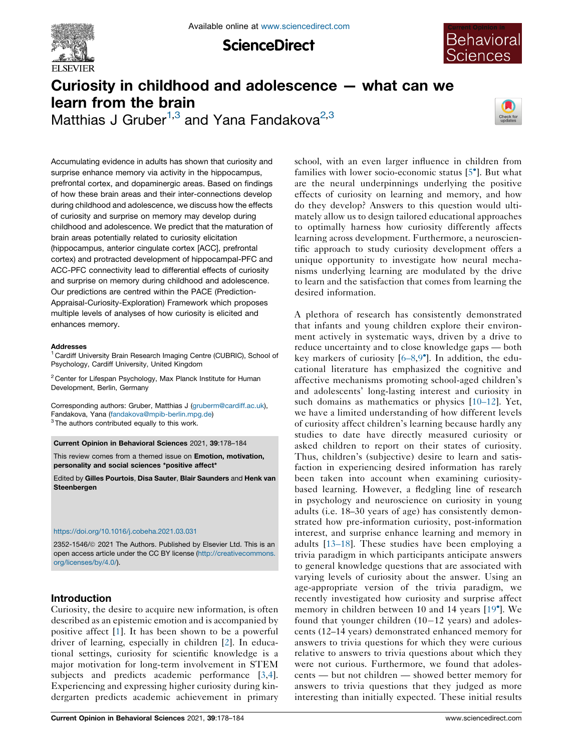

**ScienceDirect** 



# Curiosity in childhood and adolescence — what can we learn from the brain Matthias J Gruber<sup>1,3</sup> and Yana Fandakova<sup>2,3</sup>



Accumulating evidence in adults has shown that curiosity and surprise enhance memory via activity in the hippocampus, prefrontal cortex, and dopaminergic areas. Based on findings of how these brain areas and their inter-connections develop during childhood and adolescence, we discuss how the effects of curiosity and surprise on memory may develop during childhood and adolescence. We predict that the maturation of brain areas potentially related to curiosity elicitation (hippocampus, anterior cingulate cortex [ACC], prefrontal cortex) and protracted development of hippocampal-PFC and ACC-PFC connectivity lead to differential effects of curiosity and surprise on memory during childhood and adolescence. Our predictions are centred within the PACE (Prediction-Appraisal-Curiosity-Exploration) Framework which proposes multiple levels of analyses of how curiosity is elicited and enhances memory.

#### **Addresses**

<sup>1</sup> Cardiff University Brain Research Imaging Centre (CUBRIC), School of Psychology, Cardiff University, United Kingdom

 $2$  Center for Lifespan Psychology, Max Planck Institute for Human Development, Berlin, Germany

Corresponding authors: Gruber, Matthias J [\(gruberm@cardiff.ac.uk](mailto:gruberm@cardiff.ac.uk)), Fandakova, Yana ([fandakova@mpib-berlin.mpg.de\)](mailto:fandakova@mpib-berlin.mpg.de)  $3$  The authors contributed equally to this work.

Current Opinion in Behavioral Sciences 2021, 39:178–184

This review comes from a themed issue on Emotion, motivation, personality and social sciences \*positive affect\*

Edited by Gilles Pourtois, Disa Sauter, Blair Saunders and Henk van **Steenbergen** 

#### <https://doi.org/10.1016/j.cobeha.2021.03.031>

2352-1546/@ 2021 The Authors. Published by Elsevier Ltd. This is an open access article under the CC BY license [\(http://creativecommons.](http://creativecommons.org/licenses/by/4.0/) [org/licenses/by/4.0/](http://creativecommons.org/licenses/by/4.0/)).

## Introduction

Curiosity, the desire to acquire new information, is often described as an epistemic emotion and is accompanied by positive affect [\[1](#page-4-0)]. It has been shown to be a powerful driver of learning, especially in children [\[2](#page-4-0)]. In educational settings, curiosity for scientific knowledge is a major motivation for long-term involvement in STEM subjects and predicts academic performance [[3,4](#page-4-0)]. Experiencing and expressing higher curiosity during kindergarten predicts academic achievement in primary school, with an even larger influence in children from families with lower socio-economic status [5 ]. But [what](#page-4-0) are the neural underpinnings underlying the positive effects of curiosity on learning and memory, and how do they develop? Answers to this question would ultimately allow us to design tailored educational approaches to optimally harness how curiosity differently affects learning across development. Furthermore, a neuroscientific approach to study curiosity development offers a unique opportunity to investigate how neural mechanisms underlying learning are modulated by the drive to learn and the satisfaction that comes from learning the desired information.

A plethora of research has consistently demonstrated that infants and young children explore their environment actively in systematic ways, driven by a drive to reduce uncertainty and to close knowledge gaps — both key markers of curiosity [[6–8](#page-4-0),[9](#page-4-0) ]. In addition, the educational literature has emphasized the cognitive and affective mechanisms promoting school-aged children's and adolescents' long-lasting interest and curiosity in such domains as mathematics or physics [[10–12\]](#page-4-0). Yet, we have a limited understanding of how different levels of curiosity affect children's learning because hardly any studies to date have directly measured curiosity or asked children to report on their states of curiosity. Thus, children's (subjective) desire to learn and satisfaction in experiencing desired information has rarely been taken into account when examining curiositybased learning. However, a fledgling line of research in psychology and neuroscience on curiosity in young adults (i.e. 18–30 years of age) has consistently demonstrated how pre-information curiosity, post-information interest, and surprise enhance learning and memory in adults [[13–18\]](#page-5-0). These studies have been employing a trivia paradigm in which participants anticipate answers to general knowledge questions that are associated with varying levels of curiosity about the answer. Using an age-appropriate version of the trivia paradigm, we recently investigated how curiosity and surprise affect memory in children between 10 and 14 years [\[19](#page-5-0) ]. We found that younger children  $(10-12 \text{ years})$  and adolescents (12–14 years) demonstrated enhanced memory for answers to trivia questions for which they were curious relative to answers to trivia questions about which they were not curious. Furthermore, we found that adolescents — but not children — showed better memory for answers to trivia questions that they judged as more interesting than initially expected. These initial results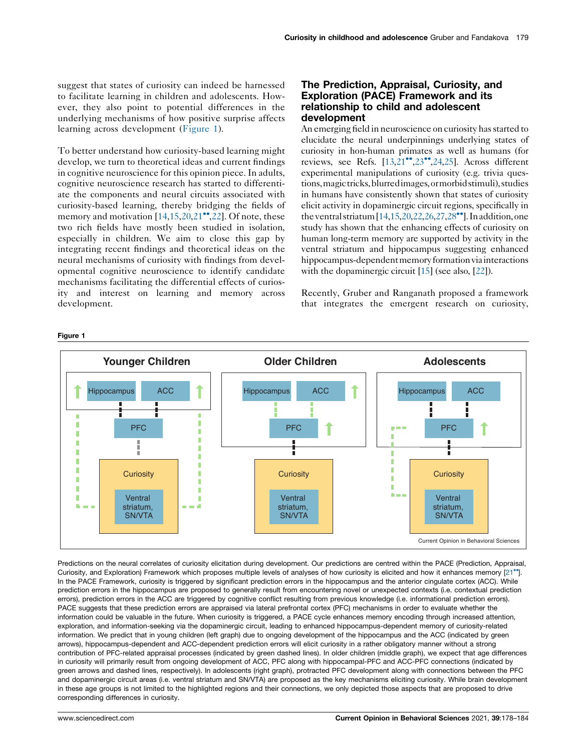<span id="page-1-0"></span>suggest that states of curiosity can indeed be harnessed to facilitate learning in children and adolescents. However, they also point to potential differences in the underlying mechanisms of how positive surprise affects learning across development (Figure 1).

To better understand how curiosity-based learning might develop, we turn to theoretical ideas and current findings in cognitive neuroscience for this opinion piece. In adults, cognitive neuroscience research has started to differentiate the components and neural circuits associated with curiosity-based learning, thereby bridging the fields of memory and motivation  $[14,15,20,21$  $[14,15,20,21$  $[14,15,20,21$  $[14,15,20,21$ <sup>\*\*</sup>,[22\]](#page-5-0). Of note, these two rich fields have mostly been studied in isolation, especially in children. We aim to close this gap by integrating recent findings and theoretical ideas on the neural mechanisms of curiosity with findings from developmental cognitive neuroscience to identify candidate mechanisms facilitating the differential effects of curiosity and interest on learning and memory across development.

# The Prediction, Appraisal, Curiosity, and Exploration (PACE) Framework and its relationship to child and adolescent development

An emerging field in neuroscience on curiosity has started to elucidate the neural underpinnings underlying states of curiosity in hon-human primates as well as humans (for reviews, see Refs.  $[13,21$  $[13,21$  $[13,21$  $[13,21$ <sup>\*</sup>[,23](#page-5-0)<sup>\*</sup>[,24,25](#page-5-0)]. Across different experimental manipulations of curiosity (e.g. trivia questions, magic tricks, blurred images, or morbid stimuli), studies in humans have consistently shown that states of curiosity elicit activity in dopaminergic circuit regions, specifically in the ventral striatum  $[14,15,20,22,26,27,28$ <sup>\*\*</sup>]. In addition, one study has shown that the enhancing effects of curiosity on human long-term memory are supported by activity in the ventral striatum and hippocampus suggesting enhanced hippocampus-dependent memory formation via interactions with the dopaminergic circuit [[15](#page-5-0)] (see also, [\[22](#page-5-0)]).

Recently, Gruber and Ranganath proposed a framework that integrates the emergent research on curiosity,



Predictions on the neural correlates of curiosity elicitation during development. Our predictions are centred within the PACE (Prediction, Appraisal, Curiosity, and Exploration) Framework which proposes multiple levels of analyses of how curiosity is elicited and how it enhances memory [\[21](#page-5-0)<sup>\*</sup>]. In the PACE Framework, curiosity is triggered by significant prediction errors in the hippocampus and the anterior cingulate cortex (ACC). While prediction errors in the hippocampus are proposed to generally result from encountering novel or unexpected contexts (i.e. contextual prediction errors), prediction errors in the ACC are triggered by cognitive conflict resulting from previous knowledge (i.e. informational prediction errors). PACE suggests that these prediction errors are appraised via lateral prefrontal cortex (PFC) mechanisms in order to evaluate whether the information could be valuable in the future. When curiosity is triggered, a PACE cycle enhances memory encoding through increased attention, exploration, and information-seeking via the dopaminergic circuit, leading to enhanced hippocampus-dependent memory of curiosity-related information. We predict that in young children (left graph) due to ongoing development of the hippocampus and the ACC (indicated by green arrows), hippocampus-dependent and ACC-dependent prediction errors will elicit curiosity in a rather obligatory manner without a strong contribution of PFC-related appraisal processes (indicated by green dashed lines). In older children (middle graph), we expect that age differences in curiosity will primarily result from ongoing development of ACC, PFC along with hippocampal-PFC and ACC-PFC connections (indicated by green arrows and dashed lines, respectively). In adolescents (right graph), protracted PFC development along with connections between the PFC and dopaminergic circuit areas (i.e. ventral striatum and SN/VTA) are proposed as the key mechanisms eliciting curiosity. While brain development in these age groups is not limited to the highlighted regions and their connections, we only depicted those aspects that are proposed to drive corresponding differences in curiosity.

#### Figure 1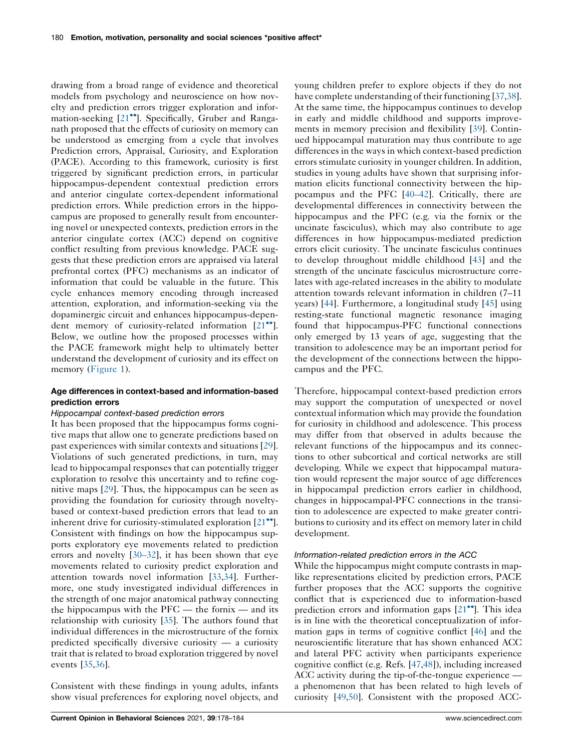drawing from a broad range of evidence and theoretical models from psychology and neuroscience on how novelty and prediction errors trigger exploration and information-seeking  $[21^{\bullet\bullet}]$  $[21^{\bullet\bullet}]$  $[21^{\bullet\bullet}]$ . Specifically, Gruber and Ranganath proposed that the effects of curiosity on memory can be understood as emerging from a cycle that involves Prediction errors, Appraisal, Curiosity, and Exploration (PACE). According to this framework, curiosity is first triggered by significant prediction errors, in particular hippocampus-dependent contextual prediction errors and anterior cingulate cortex-dependent informational prediction errors. While prediction errors in the hippocampus are proposed to generally result from encountering novel or unexpected contexts, prediction errors in the anterior cingulate cortex (ACC) depend on cognitive conflict resulting from previous knowledge. PACE suggests that these prediction errors are appraised via lateral prefrontal cortex (PFC) mechanisms as an indicator of information that could be valuable in the future. This cycle enhances memory encoding through increased attention, exploration, and information-seeking via the dopaminergic circuit and enhances hippocampus-dependent memory of curiosity-related information  $[21$  $[21$ <sup>...</sup>]. Below, we outline how the proposed processes within the PACE framework might help to ultimately better understand the development of curiosity and its effect on memory [\(Figure](#page-1-0) 1).

## Age differences in context-based and information-based prediction errors

#### Hippocampal context-based prediction errors

It has been proposed that the hippocampus forms cognitive maps that allow one to generate predictions based on past experiences with similar contexts and situations [\[29](#page-5-0)]. Violations of such generated predictions, in turn, may lead to hippocampal responses that can potentially trigger exploration to resolve this uncertainty and to refine cognitive maps [[29\]](#page-5-0). Thus, the hippocampus can be seen as providing the foundation for curiosity through noveltybased or context-based prediction errors that lead to an inherent drive for curiosity-stimulated exploration  $[21\bullet$  $[21\bullet$ <sup>0</sup>. Consistent with findings on how the hippocampus supports exploratory eye movements related to prediction errors and novelty [[30–32\]](#page-5-0), it has been shown that eye movements related to curiosity predict exploration and attention towards novel information [\[33](#page-5-0),[34\]](#page-5-0). Furthermore, one study investigated individual differences in the strength of one major anatomical pathway connecting the hippocampus with the  $PFC$  — the fornix — and its relationship with curiosity [[35\]](#page-5-0). The authors found that individual differences in the microstructure of the fornix predicted specifically diversive curiosity — a curiosity trait that is related to broad exploration triggered by novel events [\[35](#page-5-0),[36\]](#page-5-0).

Consistent with these findings in young adults, infants show visual preferences for exploring novel objects, and young children prefer to explore objects if they do not have complete understanding of their functioning [\[37](#page-5-0),[38](#page-5-0)]. At the same time, the hippocampus continues to develop in early and middle childhood and supports improvements in memory precision and flexibility [\[39](#page-5-0)]. Continued hippocampal maturation may thus contribute to age differences in the ways in which context-based prediction errors stimulate curiosity in younger children. In addition, studies in young adults have shown that surprising information elicits functional connectivity between the hippocampus and the PFC [[40–42\]](#page-5-0). Critically, there are developmental differences in connectivity between the hippocampus and the PFC (e.g. via the fornix or the uncinate fasciculus), which may also contribute to age differences in how hippocampus-mediated prediction errors elicit curiosity. The uncinate fasciculus continues to develop throughout middle childhood [\[43](#page-5-0)] and the strength of the uncinate fasciculus microstructure correlates with age-related increases in the ability to modulate attention towards relevant information in children (7–11 years) [\[44](#page-5-0)]. Furthermore, a longitudinal study [\[45](#page-5-0)] using resting-state functional magnetic resonance imaging found that hippocampus-PFC functional connections only emerged by 13 years of age, suggesting that the transition to adolescence may be an important period for the development of the connections between the hippocampus and the PFC.

Therefore, hippocampal context-based prediction errors may support the computation of unexpected or novel contextual information which may provide the foundation for curiosity in childhood and adolescence. This process may differ from that observed in adults because the relevant functions of the hippocampus and its connections to other subcortical and cortical networks are still developing. While we expect that hippocampal maturation would represent the major source of age differences in hippocampal prediction errors earlier in childhood, changes in hippocampal-PFC connections in the transition to adolescence are expected to make greater contributions to curiosity and its effect on memory later in child development.

### Information-related prediction errors in the ACC

While the hippocampus might compute contrasts in maplike representations elicited by prediction errors, PACE further proposes that the ACC supports the cognitive conflict that is experienced due to information-based prediction errors and information gaps  $[21$ <sup> $\bullet$ </sup>]. This idea is in line with the theoretical conceptualization of information gaps in terms of cognitive conflict [[46\]](#page-6-0) and the neuroscientific literature that has shown enhanced ACC and lateral PFC activity when participants experience cognitive conflict (e.g. Refs. [[47,48](#page-6-0)]), including increased ACC activity during the tip-of-the-tongue experience a phenomenon that has been related to high levels of curiosity [[49,50](#page-6-0)]. Consistent with the proposed ACC-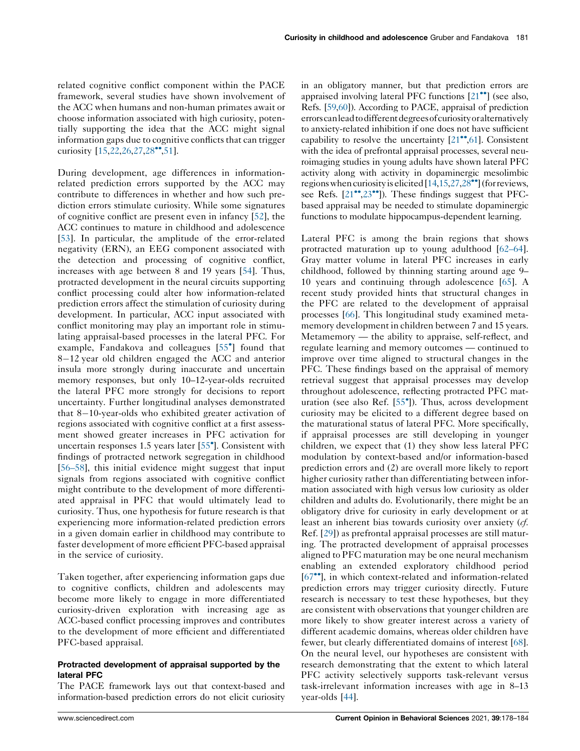related cognitive conflict component within the PACE framework, several studies have shown involvement of the ACC when humans and non-human primates await or choose information associated with high curiosity, potentially supporting the idea that the ACC might signal information gaps due to cognitive conflicts that can trigger curiosity  $[15, 22, 26, 27, 28$  $[15, 22, 26, 27, 28$ <sup>\*\*</sup>[,51](#page-6-0)].

During development, age differences in informationrelated prediction errors supported by the ACC may contribute to differences in whether and how such prediction errors stimulate curiosity. While some signatures of cognitive conflict are present even in infancy [[52\]](#page-6-0), the ACC continues to mature in childhood and adolescence [\[53](#page-6-0)]. In particular, the amplitude of the error-related negativity (ERN), an EEG component associated with the detection and processing of cognitive conflict, increases with age between 8 and 19 years [\[54](#page-6-0)]. Thus, protracted development in the neural circuits supporting conflict processing could alter how information-related prediction errors affect the stimulation of curiosity during development. In particular, ACC input associated with conflict monitoring may play an important role in stimulating appraisal-based processes in the lateral PFC. For example, Fandakova and colleagues [55 ] [found](#page-6-0) that  $8-12$  year old children engaged the ACC and anterior insula more strongly during inaccurate and uncertain memory responses, but only 10–12-year-olds recruited the lateral PFC more strongly for decisions to report uncertainty. Further longitudinal analyses demonstrated that  $8-10$ -year-olds who exhibited greater activation of regions associated with cognitive conflict at a first assessment showed greater increases in PFC activation for uncertain responses 1.5 years later [\[55](#page-6-0) ]. Consistent with findings of protracted network segregation in childhood [\[56–58](#page-6-0)], this initial evidence might suggest that input signals from regions associated with cognitive conflict might contribute to the development of more differentiated appraisal in PFC that would ultimately lead to curiosity. Thus, one hypothesis for future research is that experiencing more information-related prediction errors in a given domain earlier in childhood may contribute to faster development of more efficient PFC-based appraisal in the service of curiosity.

Taken together, after experiencing information gaps due to cognitive conflicts, children and adolescents may become more likely to engage in more differentiated curiosity-driven exploration with increasing age as ACC-based conflict processing improves and contributes to the development of more efficient and differentiated PFC-based appraisal.

## Protracted development of appraisal supported by the lateral PFC

The PACE framework lays out that context-based and information-based prediction errors do not elicit curiosity

in an obligatory manner, but that prediction errors are appraised involving lateral PFC functions  $[21\bullet]$  (see [also,](#page-5-0) Refs. [[59](#page-6-0),[60](#page-6-0)]). According to PACE, appraisal of prediction errorscanlead todifferentdegreesofcuriosityoralternatively to anxiety-related inhibition if one does not have sufficient capability to resolve the uncertainty  $[21\bullet, 61]$  $[21\bullet, 61]$  $[21\bullet, 61]$  $[21\bullet, 61]$ . Consistent with the idea of prefrontal appraisal processes, several neuroimaging studies in young adults have shown lateral PFC activity along with activity in dopaminergic mesolimbic regions when curiosity is elicited  $[14,15,27,28\text{°}$  $[14,15,27,28\text{°}$  $[14,15,27,28\text{°}$  $[14,15,27,28\text{°}$  $[14,15,27,28\text{°}$  $[14,15,27,28\text{°}$  $[14,15,27,28\text{°}$  (for reviews, see Refs.  $[21^{\bullet\bullet}, 23^{\bullet\bullet}]$  $[21^{\bullet\bullet}, 23^{\bullet\bullet}]$ . These findings suggest that PFCbased appraisal may be needed to stimulate dopaminergic functions to modulate hippocampus-dependent learning.

Lateral PFC is among the brain regions that shows protracted maturation up to young adulthood [[62–64\]](#page-6-0). Gray matter volume in lateral PFC increases in early childhood, followed by thinning starting around age 9– 10 years and continuing through adolescence [[65\]](#page-6-0). A recent study provided hints that structural changes in the PFC are related to the development of appraisal processes [[66\]](#page-6-0). This longitudinal study examined metamemory development in children between 7 and 15 years. Metamemory — the ability to appraise, self-reflect, and regulate learning and memory outcomes — continued to improve over time aligned to structural changes in the PFC. These findings based on the appraisal of memory retrieval suggest that appraisal processes may develop throughout adolescence, reflecting protracted PFC maturation (see also Ref. [\[55](#page-6-0) ]). Thus, across development curiosity may be elicited to a different degree based on the maturational status of lateral PFC. More specifically, if appraisal processes are still developing in younger children, we expect that (1) they show less lateral PFC modulation by context-based and/or information-based prediction errors and (2) are overall more likely to report higher curiosity rather than differentiating between information associated with high versus low curiosity as older children and adults do. Evolutionarily, there might be an obligatory drive for curiosity in early development or at least an inherent bias towards curiosity over anxiety (cf. Ref. [[29\]](#page-5-0)) as prefrontal appraisal processes are still maturing. The protracted development of appraisal processes aligned to PFC maturation may be one neural mechanism enabling an extended exploratory childhood period [[67](#page-6-0)<sup>••</sup>], in which context-related and information-related prediction errors may trigger curiosity directly. Future research is necessary to test these hypotheses, but they are consistent with observations that younger children are more likely to show greater interest across a variety of different academic domains, whereas older children have fewer, but clearly differentiated domains of interest [[68\]](#page-6-0). On the neural level, our hypotheses are consistent with research demonstrating that the extent to which lateral PFC activity selectively supports task-relevant versus task-irrelevant information increases with age in 8–13 year-olds [\[44](#page-5-0)].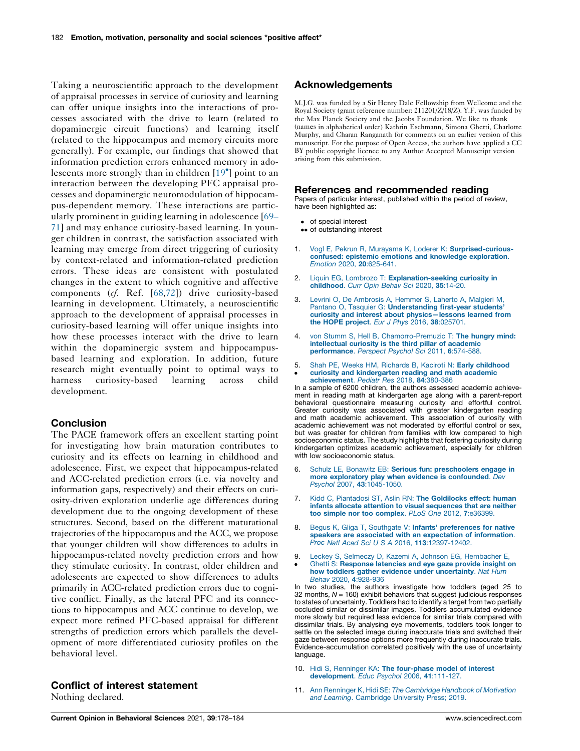<span id="page-4-0"></span>Taking a neuroscientific approach to the development of appraisal processes in service of curiosity and learning can offer unique insights into the interactions of processes associated with the drive to learn (related to dopaminergic circuit functions) and learning itself (related to the hippocampus and memory circuits more generally). For example, our findings that showed that information prediction errors enhanced memory in adolescents more strongly than in children [[19](#page-5-0) ] point to an interaction between the developing PFC appraisal processes and dopaminergic neuromodulation of hippocampus-dependent memory. These interactions are particularly prominent in guiding learning in adolescence [[69–](#page-6-0) [71](#page-6-0)] and may enhance curiosity-based learning. In younger children in contrast, the satisfaction associated with learning may emerge from direct triggering of curiosity by context-related and information-related prediction errors. These ideas are consistent with postulated changes in the extent to which cognitive and affective components (cf. Ref. [\[68,72](#page-6-0)]) drive curiosity-based learning in development. Ultimately, a neuroscientific approach to the development of appraisal processes in curiosity-based learning will offer unique insights into how these processes interact with the drive to learn within the dopaminergic system and hippocampusbased learning and exploration. In addition, future research might eventually point to optimal ways to harness curiosity-based learning across child development.

# Conclusion

The PACE framework offers an excellent starting point for investigating how brain maturation contributes to curiosity and its effects on learning in childhood and adolescence. First, we expect that hippocampus-related and ACC-related prediction errors (i.e. via novelty and information gaps, respectively) and their effects on curiosity-driven exploration underlie age differences during development due to the ongoing development of these structures. Second, based on the different maturational trajectories of the hippocampus and the ACC, we propose that younger children will show differences to adults in hippocampus-related novelty prediction errors and how they stimulate curiosity. In contrast, older children and adolescents are expected to show differences to adults primarily in ACC-related prediction errors due to cognitive conflict. Finally, as the lateral PFC and its connections to hippocampus and ACC continue to develop, we expect more refined PFC-based appraisal for different strengths of prediction errors which parallels the development of more differentiated curiosity profiles on the behavioral level.

## Conflict of interest statement

Nothing declared.

# Acknowledgements

M.J.G. was funded by a Sir Henry Dale Fellowship from Wellcome and the Royal Society (grant reference number: 211201/Z/18/Z). Y.F. was funded by the Max Planck Society and the Jacobs Foundation. We like to thank (names in alphabetical order) Kathrin Eschmann, Simona Ghetti, Charlotte Murphy, and Charan Ranganath for comments on an earlier version of this manuscript. For the purpose of Open Access, the authors have applied a CC BY public copyright licence to any Author Accepted Manuscript version arising from this submission.

#### References and recommended reading

Papers of particular interest, published within the period of review, have been highlighted as:

- of special interest
- •• of outstanding interest
- 1. Vogl E, Pekrun R, Murayama K, Loderer K: [Surprised-curious](http://refhub.elsevier.com/S2352-1546(21)00079-6/sbref0005)confused: epistemic emotions and knowledge [exploration](http://refhub.elsevier.com/S2352-1546(21)00079-6/sbref0005). Emotion 2020, 20[:625-641.](http://refhub.elsevier.com/S2352-1546(21)00079-6/sbref0005)
- 2. Liquin EG, Lombrozo T: [Explanation-seeking](http://refhub.elsevier.com/S2352-1546(21)00079-6/sbref0010) curiosity in [childhood](http://refhub.elsevier.com/S2352-1546(21)00079-6/sbref0010). Curr Opin Behav Sci 2020, 35:14-20.
- 3. Levrini O, De [Ambrosis](http://refhub.elsevier.com/S2352-1546(21)00079-6/sbref0015) A, Hemmer S, Laherto A, Malgieri M, Pantano O, Tasquier G: [Understanding](http://refhub.elsevier.com/S2352-1546(21)00079-6/sbref0015) first-year students' curiosity and interest about [physics—lessons](http://refhub.elsevier.com/S2352-1546(21)00079-6/sbref0015) learned from the HOPE project. Eur J Phys 2016, 38[:025701.](http://refhub.elsevier.com/S2352-1546(21)00079-6/sbref0015)
- 4. von Stumm S, Hell B, [Chamorro-Premuzic](http://refhub.elsevier.com/S2352-1546(21)00079-6/sbref0020) T: The hungry mind: [intellectual](http://refhub.elsevier.com/S2352-1546(21)00079-6/sbref0020) curiosity is the third pillar of academic [performance](http://refhub.elsevier.com/S2352-1546(21)00079-6/sbref0020). Perspect Psychol Sci 2011, 6:574-588.
- 5.  $\cdot$ Shah PE, Weeks HM, Richards B, Kaciroti N: Early [childhood](http://refhub.elsevier.com/S2352-1546(21)00079-6/sbref0025) curiosity and [kindergarten](http://refhub.elsevier.com/S2352-1546(21)00079-6/sbref0025) reading and math academic

[achievement](http://refhub.elsevier.com/S2352-1546(21)00079-6/sbref0025). Pediatr Res 2018, 84:380-386 In a sample of 6200 children, the authors assessed academic achievement in reading math at kindergarten age along with a parent-report behavioral questionnaire measuring curiosity and effortful control. Greater curiosity was associated with greater kindergarten reading and math academic achievement. This association of curiosity with academic achievement was not moderated by effortful control or sex, but was greater for children from families with low compared to high socioeconomic status. The study highlights that fostering curiosity during kindergarten optimizes academic achievement, especially for children with low socioeconomic status.

- 6. Schulz LE, Bonawitz EB: Serious fun: [preschoolers](http://refhub.elsevier.com/S2352-1546(21)00079-6/sbref0030) engage in more exploratory play when evidence is [confounded](http://refhub.elsevier.com/S2352-1546(21)00079-6/sbref0030). Dev Psychol 2007, 43[:1045-1050.](http://refhub.elsevier.com/S2352-1546(21)00079-6/sbref0030)
- 7. Kidd C, Piantadosi ST, Aslin RN: The [Goldilocks](http://refhub.elsevier.com/S2352-1546(21)00079-6/sbref0035) effect: human infants allocate attention to visual [sequences](http://refhub.elsevier.com/S2352-1546(21)00079-6/sbref0035) that are neither too simple nor too [complex](http://refhub.elsevier.com/S2352-1546(21)00079-6/sbref0035). PLoS One 2012, 7:e36399.
- Begus K, Gliga T, Southgate V: Infants' [preferences](http://refhub.elsevier.com/S2352-1546(21)00079-6/sbref0040) for native speakers are associated with an [expectation](http://refhub.elsevier.com/S2352-1546(21)00079-6/sbref0040) of information. Proc Natl Acad Sci U S A 2016, 113[:12397-12402.](http://refhub.elsevier.com/S2352-1546(21)00079-6/sbref0040)
- 9.  $\bullet$ Leckey S, Selmeczy D, Kazemi A, Johnson EG, [Hembacher](http://refhub.elsevier.com/S2352-1546(21)00079-6/sbref0045) E, Ghetti S: [Response](http://refhub.elsevier.com/S2352-1546(21)00079-6/sbref0045) latencies and eye gaze provide insight on how toddlers gather evidence under [uncertainty](http://refhub.elsevier.com/S2352-1546(21)00079-6/sbref0045). Nat Hum<br>Behav 2020, 4[:928-936](http://refhub.elsevier.com/S2352-1546(21)00079-6/sbref0045)

In two studies, the authors investigate how toddlers (aged 25 to 32 months,  $N = 160$ ) exhibit behaviors that suggest judicious responses to states of uncertainty. Toddlers had to identify a target from two partially occluded similar or dissimilar images. Toddlers accumulated evidence more slowly but required less evidence for similar trials compared with dissimilar trials. By analysing eye movements, toddlers took longer to settle on the selected image during inaccurate trials and switched their gaze between response options more frequently during inaccurate trials. Evidence-accumulation correlated positively with the use of uncertainty language.

- 10. Hidi S, Renninger KA: The [four-phase](http://refhub.elsevier.com/S2352-1546(21)00079-6/sbref0050) model of interest [development](http://refhub.elsevier.com/S2352-1546(21)00079-6/sbref0050). Educ Psychol 2006, 41:111-127.
- 11. Ann Renninger K, Hidi SE: The [Cambridge](http://refhub.elsevier.com/S2352-1546(21)00079-6/sbref0055) Handbook of Motivation and Learning. [Cambridge](http://refhub.elsevier.com/S2352-1546(21)00079-6/sbref0055) University Press; 2019.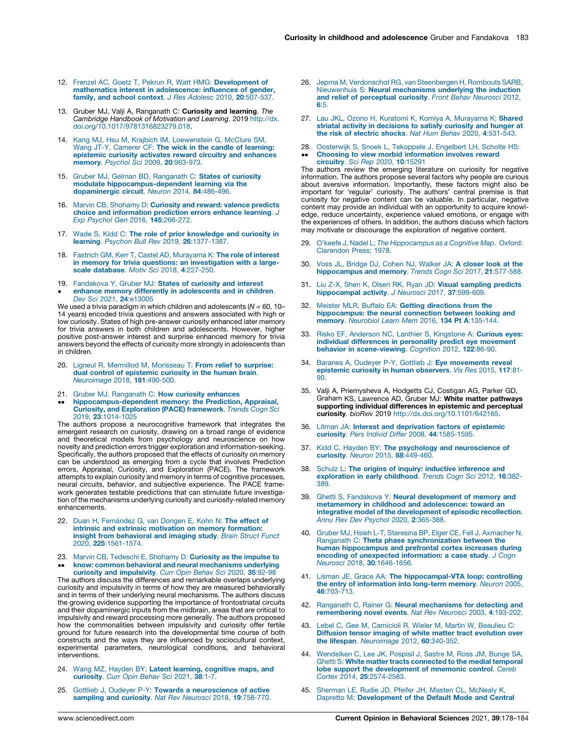- <span id="page-5-0"></span>12. Frenzel AC, Goetz T, Pekrun R, Watt HMG: [Development](http://refhub.elsevier.com/S2352-1546(21)00079-6/sbref0060) of mathematics interest in [adolescence:](http://refhub.elsevier.com/S2352-1546(21)00079-6/sbref0060) influences of gender, family, and school context. J Res Adolesc 2010, 20[:507-537.](http://refhub.elsevier.com/S2352-1546(21)00079-6/sbref0060)
- 13. Gruber MJ, Valji A, Ranganath C: Curiosity and learning. The Cambridge Handbook of Motivation and Learning. 2019 [http://dx.](http://dx.doi.org/10.1017/9781316823279.018) [doi.org/10.1017/9781316823279.018.](http://dx.doi.org/10.1017/9781316823279.018)
- 14. Kang MJ, Hsu M, Krajbich IM, [Loewenstein](http://refhub.elsevier.com/S2352-1546(21)00079-6/sbref0070) G, McClure SM, Wang JT-Y, Camerer CF: The wick in the candle of [learning:](http://refhub.elsevier.com/S2352-1546(21)00079-6/sbref0070) [epistemic](http://refhub.elsevier.com/S2352-1546(21)00079-6/sbref0070) curiosity activates reward circuitry and enhances memory. Psychol Sci 2009, 20[:963-973.](http://refhub.elsevier.com/S2352-1546(21)00079-6/sbref0070)
- 15. Gruber MJ, Gelman BD, [Ranganath](http://refhub.elsevier.com/S2352-1546(21)00079-6/sbref0075) C: States of curiosity modulate [hippocampus-dependent](http://refhub.elsevier.com/S2352-1546(21)00079-6/sbref0075) learning via the [dopaminergic](http://refhub.elsevier.com/S2352-1546(21)00079-6/sbref0075) circuit. Neuron 2014, 84:486-496.
- 16. Marvin CB, [Shohamy](http://refhub.elsevier.com/S2352-1546(21)00079-6/sbref0080) D: Curiosity and reward: valence predicts choice and [information](http://refhub.elsevier.com/S2352-1546(21)00079-6/sbref0080) prediction errors enhance learning. J Exp Psychol Gen 2016, 145[:266-272.](http://refhub.elsevier.com/S2352-1546(21)00079-6/sbref0080)
- 17. Wade S, Kidd C: The role of prior [knowledge](http://refhub.elsevier.com/S2352-1546(21)00079-6/sbref0085) and curiosity in learning. Psychon Bull Rev 2019, 26[:1377-1387.](http://refhub.elsevier.com/S2352-1546(21)00079-6/sbref0085)
- 18. Fastrich GM, Kerr T, Castel AD, [Murayama](http://refhub.elsevier.com/S2352-1546(21)00079-6/sbref0090) K: The role of interest in memory for trivia questions: an [investigation](http://refhub.elsevier.com/S2352-1546(21)00079-6/sbref0090) with a largescale [database](http://refhub.elsevier.com/S2352-1546(21)00079-6/sbref0090). Motiv Sci 2018, 4:227-250.
- 19. [Fandakova](http://refhub.elsevier.com/S2352-1546(21)00079-6/sbref0095) Y, Gruber MJ: States of curiosity and interest  $\bullet$ enhance memory differently in [adolescents](http://refhub.elsevier.com/S2352-1546(21)00079-6/sbref0095) and in children. Dev Sci 2021, 24[:e13005](http://refhub.elsevier.com/S2352-1546(21)00079-6/sbref0095)

We used a trivia paradigm in which children and adolescents ( $N = 60$ , 10– 14 years) encoded trivia questions and answers associated with high or low curiosity. States of high pre-answer curiosity enhanced later memory for trivia answers in both children and adolescents. However, higher positive post-answer interest and surprise enhanced memory for trivia answers beyond the effects of curiosity more strongly in adolescents than in children.

- 20. Ligneul R, Mermillod M, [Morisseau](http://refhub.elsevier.com/S2352-1546(21)00079-6/sbref0100) T: From relief to surprise: dual control of [epistemic](http://refhub.elsevier.com/S2352-1546(21)00079-6/sbref0100) curiosity in the human brain. [Neuroimage](http://refhub.elsevier.com/S2352-1546(21)00079-6/sbref0100) 2018, 181:490-500.
- 21. Gruber MJ, [Ranganath](http://refhub.elsevier.com/S2352-1546(21)00079-6/sbref0105) C: How curiosity enhances
- $\ddot{\phantom{0}}$ [hippocampus-dependent](http://refhub.elsevier.com/S2352-1546(21)00079-6/sbref0105) memory: the Prediction, Appraisal, **Curiosity, and [Exploration](http://refhub.elsevier.com/S2352-1546(21)00079-6/sbref0105) (PACE) framework**. Trends Cogn Sci 2019, 23[:1014-1025](http://refhub.elsevier.com/S2352-1546(21)00079-6/sbref0105)

The authors propose a neurocognitive framework that integrates the emergent research on curiosity, drawing on a broad range of evidence and theoretical models from psychology and neuroscience on how novelty and prediction errors trigger exploration and information-seeking. Specifically, the authors proposed that the effects of curiosity on memory can be understood as emerging from a cycle that involves Prediction errors, Appraisal, Curiosity, and Exploration (PACE). The framework attempts to explain curiosity and memory in terms of cognitive processes, neural circuits, behavior, and subjective experience. The PACE framework generates testable predictions that can stimulate future investigation of the mechanisms underlying curiosity and curiosity-related memory enhancements.

- 22. Duan H, Fernández G, van [Dongen](http://refhub.elsevier.com/S2352-1546(21)00079-6/sbref0110) E, Kohn N: The effect of intrinsic and extrinsic [motivation](http://refhub.elsevier.com/S2352-1546(21)00079-6/sbref0110) on memory formation: insight from [behavioral](http://refhub.elsevier.com/S2352-1546(21)00079-6/sbref0110) and imaging study. Brain Struct Funct 2020, 225[:1561-1574.](http://refhub.elsevier.com/S2352-1546(21)00079-6/sbref0110)
- 23. Marvin CB, Tedeschi E, Shohamy D: [Curiosity](http://refhub.elsevier.com/S2352-1546(21)00079-6/sbref0115) as the impulse to  $\ddot{\phantom{0}}$ know: common behavioral and neural [mechanisms](http://refhub.elsevier.com/S2352-1546(21)00079-6/sbref0115) underlying curiosity and [impulsivity](http://refhub.elsevier.com/S2352-1546(21)00079-6/sbref0115). Curr Opin Behav Sci 2020, 35:92-98

The authors discuss the differences and remarkable overlaps underlying curiosity and impulsivity in terms of how they are measured behaviorally and in terms of their underlying neural mechanisms. The authors discuss the growing evidence supporting the importance of frontostriatal circuits and their dopaminergic inputs from the midbrain, areas that are critical to impulsivity and reward processing more generally. The authors proposed how the commonalities between impulsivity and curiosity offer fertile ground for future research into the developmental time course of both constructs and the ways they are influenced by sociocultural context, experimental parameters, neurological conditions, and behavioral interventions.

- 24. Wang MZ, Hayden BY: Latent learning, [cognitive](http://refhub.elsevier.com/S2352-1546(21)00079-6/sbref0120) maps, and<br>[curiosity](http://refhub.elsevier.com/S2352-1546(21)00079-6/sbref0120). Curr Opin Behav Sci 2021, 38:1-7.
- 25. Gottlieb J, Oudeyer P-Y: Towards a [neuroscience](http://refhub.elsevier.com/S2352-1546(21)00079-6/sbref0125) of active [sampling](http://refhub.elsevier.com/S2352-1546(21)00079-6/sbref0125) and curiosity. Nat Rev Neurosci 2018, 19:758-770.
- 26. Jepma M, Verdonschot RG, van [Steenbergen](http://refhub.elsevier.com/S2352-1546(21)00079-6/sbref0130) H, Rombouts SARB, Nieuwenhuis S: Neural [mechanisms](http://refhub.elsevier.com/S2352-1546(21)00079-6/sbref0130) underlying the induction and relief of [perceptual](http://refhub.elsevier.com/S2352-1546(21)00079-6/sbref0130) curiosity. Front Behav Neurosci 2012, 6[:5.](http://refhub.elsevier.com/S2352-1546(21)00079-6/sbref0130)
- 27. Lau JKL, Ozono H, Kuratomi K, Komiya A, [Murayama](http://refhub.elsevier.com/S2352-1546(21)00079-6/sbref0135) K: Shared striatal activity in [decisions](http://refhub.elsevier.com/S2352-1546(21)00079-6/sbref0135) to satisfy curiosity and hunger at the risk of electric shocks. Nat Hum Behav 2020, 4[:531-543.](http://refhub.elsevier.com/S2352-1546(21)00079-6/sbref0135)
- 28.  $\ddot{\phantom{0}}$ Oosterwijk S, Snoek L, [Tekoppele](http://refhub.elsevier.com/S2352-1546(21)00079-6/sbref0140) J, Engelbert LH, Scholte HS: Choosing to view morbid [information](http://refhub.elsevier.com/S2352-1546(21)00079-6/sbref0140) involves reward [circuitry](http://refhub.elsevier.com/S2352-1546(21)00079-6/sbref0140). Sci Rep 2020, 10:15291

The authors review the emerging literature on curiosity for negative information. The authors propose several factors why people are curious about aversive information. Importantly, these factors might also be important for 'regular' curiosity. The authors' central premise is that curiosity for negative content can be valuable. In particular, negative content may provide an individual with an opportunity to acquire knowledge, reduce uncertainty, experience valued emotions, or engage with the experiences of others. In addition, the authors discuss which factors may motivate or discourage the exploration of negative content.

- 29. O'keefe J, Nadel L: The [Hippocampus](http://refhub.elsevier.com/S2352-1546(21)00079-6/sbref0145) as a Cognitive Map. Oxford: [Clarendon](http://refhub.elsevier.com/S2352-1546(21)00079-6/sbref0145) Press; 1978.
- 30. Voss JL, Bridge DJ, Cohen NJ, [Walker](http://refhub.elsevier.com/S2352-1546(21)00079-6/sbref0150) JA: A closer look at the [hippocampus](http://refhub.elsevier.com/S2352-1546(21)00079-6/sbref0150) and memory. Trends Cogn Sci 2017, 21:577-588.
- 31. Liu Z-X, Shen K, Olsen RK, Ryan JD: Visual [sampling](http://refhub.elsevier.com/S2352-1546(21)00079-6/sbref0155) predicts [hippocampal](http://refhub.elsevier.com/S2352-1546(21)00079-6/sbref0155) activity. J Neurosci 2017, 37:599-609.
- 32. Meister MLR, Buffalo EA: Getting [directions](http://refhub.elsevier.com/S2352-1546(21)00079-6/sbref0160) from the [hippocampus:](http://refhub.elsevier.com/S2352-1546(21)00079-6/sbref0160) the neural connection between looking and memory. [Neurobiol](http://refhub.elsevier.com/S2352-1546(21)00079-6/sbref0160) Learn Mem 2016, 134 Pt A:135-144.
- 33. Risko EF, Anderson NC, Lanthier S, [Kingstone](http://refhub.elsevier.com/S2352-1546(21)00079-6/sbref0165) A: Curious eyes: individual [differences](http://refhub.elsevier.com/S2352-1546(21)00079-6/sbref0165) in personality predict eye movement behavior in [scene-viewing](http://refhub.elsevier.com/S2352-1546(21)00079-6/sbref0165). Cognition 2012, 122:86-90.
- Baranes A, Oudeyer P-Y, Gottlieb J: Eye [movements](http://refhub.elsevier.com/S2352-1546(21)00079-6/sbref0170) reveal epistemic curiosity in human [observers](http://refhub.elsevier.com/S2352-1546(21)00079-6/sbref0170). Vis Res 2015, 117:81- [90.](http://refhub.elsevier.com/S2352-1546(21)00079-6/sbref0170)
- 35. Valji A, Priemysheva A, Hodgetts CJ, Costigan AG, Parker GD, Graham KS, Lawrence AD, Gruber MJ: White matter pathways supporting individual differences in epistemic and perceptual curiosity. bioRxiv 2019 [http://dx.doi.org/10.1101/642165.](http://dx.doi.org/10.1101/642165)
- 36. Litman JA: Interest and [deprivation](http://refhub.elsevier.com/S2352-1546(21)00079-6/sbref0180) factors of epistemic curiosity. Pers Individ Differ 2008, 44[:1585-1595.](http://refhub.elsevier.com/S2352-1546(21)00079-6/sbref0180)
- 37. Kidd C, Hayden BY: The psychology and [neuroscience](http://refhub.elsevier.com/S2352-1546(21)00079-6/sbref0185) of curiosity. Neuron 2015, 88[:449-460.](http://refhub.elsevier.com/S2352-1546(21)00079-6/sbref0185)
- 38. Schulz L: The origins of inquiry: inductive [inference](http://refhub.elsevier.com/S2352-1546(21)00079-6/sbref0190) and [exploration](http://refhub.elsevier.com/S2352-1546(21)00079-6/sbref0190) in early childhood. Trends Cogn Sci 2012, 16:382- [389.](http://refhub.elsevier.com/S2352-1546(21)00079-6/sbref0190)
- 39. Ghetti S, Fandakova Y: Neural [development](http://refhub.elsevier.com/S2352-1546(21)00079-6/sbref0195) of memory and metamemory in childhood and [adolescence:](http://refhub.elsevier.com/S2352-1546(21)00079-6/sbref0195) toward an integrative model of the [development](http://refhub.elsevier.com/S2352-1546(21)00079-6/sbref0195) of episodic recollection. Annu Rev Dev Psychol 2020, 2[:365-388.](http://refhub.elsevier.com/S2352-1546(21)00079-6/sbref0195)
- 40. Gruber MJ, Hsieh L-T, Staresina BP, Elger CE, Fell J, [Axmacher](http://refhub.elsevier.com/S2352-1546(21)00079-6/sbref0200) N, Ranganath C: Theta phase [synchronization](http://refhub.elsevier.com/S2352-1546(21)00079-6/sbref0200) between the human [hippocampus](http://refhub.elsevier.com/S2352-1546(21)00079-6/sbref0200) and prefrontal cortex increases during encoding of unexpected [information:](http://refhub.elsevier.com/S2352-1546(21)00079-6/sbref0200) a case study. J Cogn Neurosci 2018, 30[:1646-1656.](http://refhub.elsevier.com/S2352-1546(21)00079-6/sbref0200)
- 41. Lisman JE, Grace AA: The [hippocampal-VTA](http://refhub.elsevier.com/S2352-1546(21)00079-6/sbref0205) loop: controlling the entry of [information](http://refhub.elsevier.com/S2352-1546(21)00079-6/sbref0205) into long-term memory. Neuron 2005, 46[:703-713.](http://refhub.elsevier.com/S2352-1546(21)00079-6/sbref0205)
- 42. Ranganath C, Rainer G: Neural [mechanisms](http://refhub.elsevier.com/S2352-1546(21)00079-6/sbref0210) for detecting and [remembering](http://refhub.elsevier.com/S2352-1546(21)00079-6/sbref0210) novel events. Nat Rev Neurosci 2003, 4:193-202.
- 43. Lebel C, Gee M, [Camicioli](http://refhub.elsevier.com/S2352-1546(21)00079-6/sbref0215) R, Wieler M, Martin W, Beaulieu C: Diffusion tensor imaging of white matter tract [evolution](http://refhub.elsevier.com/S2352-1546(21)00079-6/sbref0215) over the lifespan. [Neuroimage](http://refhub.elsevier.com/S2352-1546(21)00079-6/sbref0215) 2012, 60:340-352.
- 44. [Wendelken](http://refhub.elsevier.com/S2352-1546(21)00079-6/sbref0220) C, Lee JK, Pospisil J, Sastre M, Ross JM, Bunge SA, Ghetti S: White matter tracts [connected](http://refhub.elsevier.com/S2352-1546(21)00079-6/sbref0220) to the medial temporal lobe support the [development](http://refhub.elsevier.com/S2352-1546(21)00079-6/sbref0220) of mnemonic control. Cereb Cortex 2014, 25[:2574-2583.](http://refhub.elsevier.com/S2352-1546(21)00079-6/sbref0220)
- [Sherman](http://refhub.elsevier.com/S2352-1546(21)00079-6/sbref0225) LE, Rudie JD, Pfeifer JH, Masten CL, McNealy K, Dapretto M: [Development](http://refhub.elsevier.com/S2352-1546(21)00079-6/sbref0225) of the Default Mode and Central